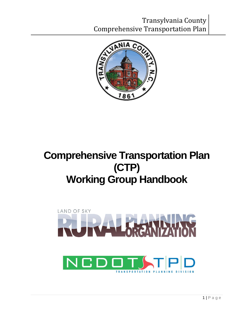

# **Comprehensive Transportation Plan (CTP) Working Group Handbook**

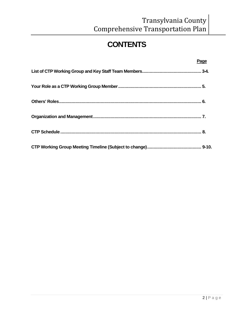# **CONTENTS**

| Page |
|------|
|      |
|      |
|      |
|      |
|      |
|      |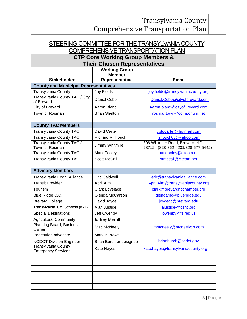## STEERING COMMITTEE FOR THE TRANSYLVANIA COUNTY

## COMPREHENSIVE TRANSPORTATION PLAN

#### **CTP Core Working Group Members & Their Chosen Representatives**

|                                                  | HUIL UNUUUN KUPLUUUNTUU<br><b>Working Group</b> |                                                                      |
|--------------------------------------------------|-------------------------------------------------|----------------------------------------------------------------------|
|                                                  | <b>Member</b>                                   |                                                                      |
| <b>Stakeholder</b>                               | Representative                                  | <b>Email</b>                                                         |
| <b>County and Municipal Representatives</b>      |                                                 |                                                                      |
| <b>Transylvania County</b>                       | <b>Joy Fields</b>                               | joy.fields@transylvaniacounty.org                                    |
| Transylvania County TAC / City<br>of Brevard     | Daniel Cobb                                     | Daniel.Cobb@cityofbrevard.com                                        |
| City of Brevard                                  | Aaron Bland                                     | Aaron.bland@cityofBrevard.com                                        |
| Town of Rosman                                   | <b>Brian Shelton</b>                            | rosmantown@comporium.net                                             |
|                                                  |                                                 |                                                                      |
| <b>County TAC Members</b>                        |                                                 |                                                                      |
| <b>Transylvania County TAC</b>                   | David Carter                                    | cptdcarter@hotmail.com                                               |
| Transylvania County TAC                          | Richard R. Houck                                | rrhouck08@yahoo.com                                                  |
| Transylvania County TAC /<br>Town of Rosman      | Jimmy Whitmire                                  | 806 Whitmire Road, Brevard, NC<br>28712, (828-862-4231/828-577-5442) |
| Transylvania County TAC                          | Mark Tooley                                     | marktooley@citcom.net                                                |
| <b>Transylvania County TAC</b>                   | <b>Scott McCall</b>                             | stmccall@citcom.net                                                  |
|                                                  |                                                 |                                                                      |
| <b>Advisory Members</b>                          |                                                 |                                                                      |
| Transylvania Econ. Alliance                      | <b>Eric Caldwell</b>                            | eric@transylvaniaalliance.com                                        |
| <b>Transit Provider</b>                          | April Alm                                       | April.Alm@transylvaniacounty.org                                     |
| Tourism                                          | <b>Clark Lovelace</b>                           | clark@brevardncchamber.org                                           |
| Blue Ridge C.C.                                  | Glenda McCarson                                 | glendamc@blueridge.edu                                               |
| <b>Brevard College</b>                           | David Joyce                                     | joycedc@brevard.edu                                                  |
| Transylvania Co. Schools (K-12)                  | Alan Justice                                    | ajustice@tcsnc.org                                                   |
| <b>Special Destinations</b>                      | Jeff Owenby                                     | jowenby@fs.fed.us                                                    |
| <b>Agricultural Community</b>                    | Joffrey Merrill                                 |                                                                      |
| Planning Board, Business<br>Owner                | Mac McNeely                                     | mmcneely@mcneelyco.com                                               |
| Pedestrian advocate                              | <b>Mark Burrows</b>                             |                                                                      |
| <b>NCDOT Division Engineer</b>                   | Brian Burch or designee                         | brianburch@ncdot.gov                                                 |
| Transylvania County<br><b>Emergency Services</b> | Kate Hayes                                      | kate.hayes@transylvaniacounty.org                                    |
|                                                  |                                                 |                                                                      |
|                                                  |                                                 |                                                                      |
|                                                  |                                                 |                                                                      |
|                                                  |                                                 |                                                                      |
|                                                  |                                                 |                                                                      |
|                                                  |                                                 |                                                                      |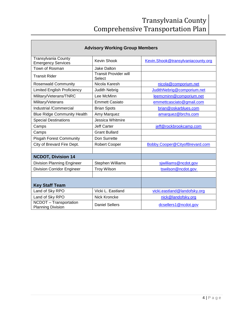| <b>Advisory Working Group Members</b>                     |                                        |                                    |  |  |
|-----------------------------------------------------------|----------------------------------------|------------------------------------|--|--|
| <b>Transylvania County</b><br><b>Emergency Services</b>   | <b>Kevin Shook</b>                     | Kevin.Shook@transylvaniacounty.org |  |  |
| Town of Rosman                                            | <b>Jake Dalton</b>                     |                                    |  |  |
| <b>Transit Rider</b>                                      | <b>Transit Provider will</b><br>Select |                                    |  |  |
| <b>Rosenwald Community</b>                                | Nicola Karesh                          | nicola@comporium.net               |  |  |
| <b>Limited English Proficiency</b>                        | Judith Nebrig                          | JudithNebrig@comporium.net         |  |  |
| Military/Veterans/TNRC                                    | Lee McMinn                             | leemcminn@comporium.net            |  |  |
| Military/Veterans                                         | <b>Emmett Casiato</b>                  | emmettcasciato@gmail.com           |  |  |
| <b>Industrial /Commercial</b>                             | <b>Brian Spots</b>                     | brian@oskarblues.com               |  |  |
| <b>Blue Ridge Community Health</b>                        | Amy Marquez                            | amarquez@brchs.com                 |  |  |
| <b>Special Destinations</b>                               | Jessica Whitmire                       |                                    |  |  |
| Camps                                                     | <b>Jeff Carter</b>                     | jeff@rockbrookcamp.com             |  |  |
| Camps                                                     | <b>Grant Bullard</b>                   |                                    |  |  |
| <b>Pisgah Forest Community</b>                            | Don Surrette                           |                                    |  |  |
| City of Brevard Fire Dept.                                | Robert Cooper                          | Bobby.Cooper@CityofBrevard.com     |  |  |
|                                                           |                                        |                                    |  |  |
| <b>NCDOT, Division 14</b>                                 |                                        |                                    |  |  |
| <b>Division Planning Engineer</b>                         | <b>Stephen Williams</b>                | sjwilliams@ncdot.gov               |  |  |
| <b>Division Corridor Engineer</b>                         | <b>Troy Wilson</b>                     | tswilson@ncdot.gov                 |  |  |
|                                                           |                                        |                                    |  |  |
| <b>Key Staff Team</b>                                     |                                        |                                    |  |  |
| Land of Sky RPO                                           | Vicki L. Eastland                      | vicki.eastland@landofsky.org       |  |  |
| Land of Sky RPO                                           | <b>Nick Kroncke</b>                    | nick@landofsky.org                 |  |  |
| <b>NCDOT</b> - Transportation<br><b>Planning Division</b> | <b>Daniel Sellers</b>                  | dcsellers1@ncdot.gov               |  |  |

Г

 $\overline{\phantom{0}}$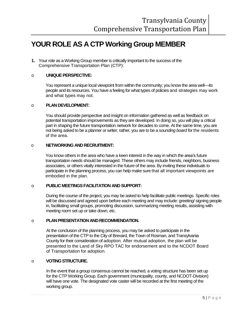### **YOUR ROLE AS A CTP Working Group MEMBER**

**1.** Your role as a Working Group member is critically important to the success of the Comprehensive Transportation Plan (CTP):

#### o **UNIQUE PERSPECTIVE:**

You represent a unique local viewpoint from within the community; you know the area well—its people and its resources. You have a feeling for what types of policies and strategies may work and what types may not.

#### o **PLAN DEVELOPMENT:**

You should provide perspective and insight on information gathered as well as feedback on potential transportation improvements as they are developed. In doing so, you will play a critical part in shaping the future transportation network for decades to come. At the same time, you are not being asked to be a planner or writer; rather, you are to be a *sounding board for* the residents of the area.

#### o **NETWORKING AND RECRUITMENT:**

You know others in the area who have a keen interest in the way in which the area's future transportation needs should be managed. These others may include friends, neighbors, business associates, or others vitally interested in the future of the area. By inviting these individuals to participate in the planning process, you can help make sure that all important viewpoints are embodied in the plan.

#### o **PUBLIC MEETINGS FACILITATION AND SUPPORT:**

During the course of the project, you may be asked to help facilitate public meetings. Specific roles will be discussed and agreed upon before each meeting and may include: greeting/ signing people in, facilitating small groups, promoting discussion, summarizing meeting results, assisting with meeting room set up or take down, etc.

#### o **PLAN PRESENTATION AND RECOMMENDATION.**

At the conclusion of the planning process, you may be asked to participate in the presentation of the CTP to the City of Brevard, the Town of Rosman, and Transylvania County for their consideration of adoption. After mutual adoption, the plan will be presented to the Land of Sky RPO TAC for endorsement and to the NCDOT Board of Transportation for adoption.

#### o **VOTING STRUCTURE.**

In the event that a group consensus cannot be reached, a voting structure has been set up for the CTP Working Group. Each government (municipality, county, and NCDOT-Division) will have one vote. The designated vote caster will be recorded at the first meeting of the working group.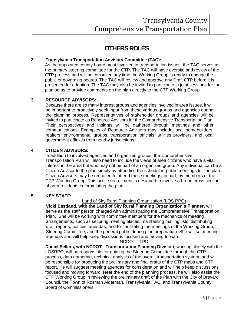### **OTHERS ROLES**

#### **2. Transylvania Transportation Advisory Committee (TAC):**

As the appointed county board most involved in transportation issues, the TAC serves as the primary steering committee for the CTP. The TAC will have oversite and review of the CTP process and will be consulted any time the Working Group is ready to engage the public or governing boards. The TAC will review and approve any Draft CTP before it is presented for adoption. The TAC may also be invited to participate in joint sessions for the plan so as to provide comments on the plan directly to the CTP Working Group.

#### **3. RESOURCE ADVISORS:**

Because there are so many interest groups and agencies involved in area issues, it will be important to proactively seek input from these various groups and agencies during the planning process. Representatives of stakeholder groups and agencies will be invited to participate as Resource Advisors for the Comprehensive Transportation Plan. Their perspectives and insights will be gathered through meetings and other communications. Examples of Resource Advisors may include local homebuilders, realtors, environmental groups, transportation officials, utilities providers, and local government officials from nearby jurisdictions.

#### **4. CITIZEN ADVISORS:**

In addition to involved agencies and organized groups, the Comprehensive Transportation Plan will also need to include the views of area citizens who have a vital interest in the area but who may not be part of an organized group. Any individual can be a Citizen Advisor to the plan simply by attending the scheduled public meetings for the plan. Citizen Advisors may be recruited to attend these meetings, in part, by members of the CTP Working Group. This active recruitment is designed to involve a broad cross section of area residents in formulating the plan.

#### **5. KEY STAFF:**

#### Land of Sky Rural Planning Organization (LOS RPO)

**Vicki Eastland, with the Land of Sky Rural Planning Organization's Planner**, will serve as the staff person charged with administrating the Comprehensive Transportation Plan. She will be working with committee members for the mechanics of meeting arrangements, such as securing meeting places, maintaining mailing lists, distributing draft reports, notices, agendas, and for facilitating the meetings of the Working Group, Steering Committee, and the general public during plan preparation. She will set meeting agendas and will help keep discussions focused and moving forward.

#### NCDOT - TPD

**Daniel Sellers, with NCDOT - Transportation Planning Division**, working closely with the LOSRPO**,** will be responsible for guiding the Steering Committee through the CTP process, data gathering, technical analysis of the overall transportation system, and will be responsible for producing the preliminary and final drafts of the CTP maps and CTP report. He will suggest meeting agendas for consideration and will help keep discussions focused and moving forward. Near the end of the planning process, he will also assist the CTP Working Group in reviewing the preliminary draft of the Plan with the City of Brevard Council, the Town of Rosman Alderman, Transylvania TAC, and Transylvania County Board of Commissioners.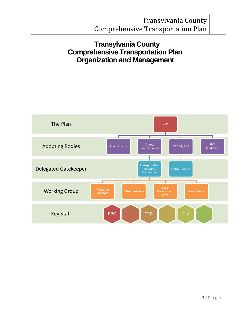### **Transylvania County Comprehensive Transportation Plan Organization and Management**

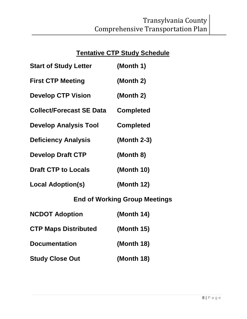### **Tentative CTP Study Schedule**

| <b>Start of Study Letter</b>         | (Month 1)        |  |
|--------------------------------------|------------------|--|
| <b>First CTP Meeting</b>             | (Month 2)        |  |
| <b>Develop CTP Vision</b>            | (Month 2)        |  |
| <b>Collect/Forecast SE Data</b>      | <b>Completed</b> |  |
| <b>Develop Analysis Tool</b>         | <b>Completed</b> |  |
| <b>Deficiency Analysis</b>           | (Month 2-3)      |  |
| <b>Develop Draft CTP</b>             | (Month 8)        |  |
| <b>Draft CTP to Locals</b>           | (Month 10)       |  |
| <b>Local Adoption(s)</b>             | (Month 12)       |  |
| <b>End of Working Group Meetings</b> |                  |  |

| <b>NCDOT Adoption</b>       | (Month $14$ ) |
|-----------------------------|---------------|
| <b>CTP Maps Distributed</b> | (Month $15$ ) |
| <b>Documentation</b>        | (Month 18)    |
| <b>Study Close Out</b>      | (Month 18)    |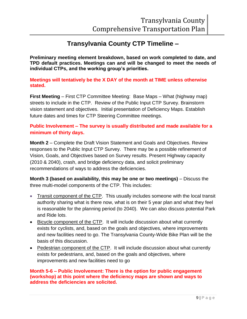### **Transylvania County CTP Timeline –**

**Preliminary meeting element breakdown, based on work completed to date, and TPD default practices. Meetings can and will be changed to meet the needs of individual CTPs, and the working group's priorities.**

**Meetings will tentatively be the X DAY of the month at TIME unless otherwise stated.**

**First Meeting** – First CTP Committee Meeting: Base Maps – What (highway map) streets to include in the CTP. Review of the Public Input CTP Survey. Brainstorm vision statement and objectives. Initial presentation of Deficiency Maps. Establish future dates and times for CTP Steering Committee meetings.

#### **Public Involvement – The survey is usually distributed and made available for a minimum of thirty days.**

**Month 2** – Complete the Draft Vision Statement and Goals and Objectives. Review responses to the Public Input CTP Survey. There may be a possible refinement of Vision, Goals, and Objectives based on Survey results. Present Highway capacity (2010 & 2040), crash, and bridge deficiency data, and solicit preliminary recommendations of ways to address the deficiencies.

**Month 3 (based on availability, this may be one or two meetings)** – Discuss the three multi-model components of the CTP. This includes:

- Transit component of the CTP. This usually includes someone with the local transit authority sharing what is there now, what is on their 5 year plan and what they feel is reasonable for the planning period (to 2040). We can also discuss potential Park and Ride lots.
- Bicycle component of the CTP. It will include discussion about what currently exists for cyclists, and, based on the goals and objectives, where improvements and new facilities need to go. The Transylvania County-Wide Bike Plan will be the basis of this discussion.
- Pedestrian component of the CTP. It will include discussion about what currently exists for pedestrians, and, based on the goals and objectives, where improvements and new facilities need to go

#### **Month 5-6 – Public Involvement: There is the option for public engagement (workshop) at this point where the deficiency maps are shown and ways to address the deficiencies are solicited.**